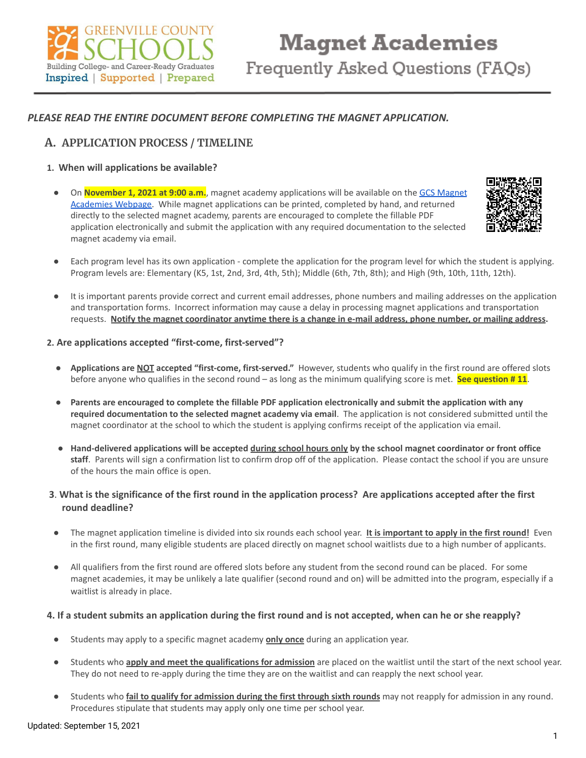

# *PLEASE READ THE ENTIRE DOCUMENT BEFORE COMPLETING THE MAGNET APPLICATION.*

# **A. APPLICATION PROCESS / TIMELINE**

## **1. When will applications be available?**

● On **November 1, 2021 at 9:00 a.m.**, magnet academy applications will be available on the GCS [Magnet](https://www.greenville.k12.sc.us/Parents/main.asp?titleid=magnet) [Academies](https://www.greenville.k12.sc.us/Parents/main.asp?titleid=magnet) Webpage. While magnet applications can be printed, completed by hand, and returned directly to the selected magnet academy, parents are encouraged to complete the fillable PDF application electronically and submit the application with any required documentation to the selected magnet academy via email.



- Each program level has its own application complete the application for the program level for which the student is applying. Program levels are: Elementary (K5, 1st, 2nd, 3rd, 4th, 5th); Middle (6th, 7th, 8th); and High (9th, 10th, 11th, 12th).
- It is important parents provide correct and current email addresses, phone numbers and mailing addresses on the application and transportation forms. Incorrect information may cause a delay in processing magnet applications and transportation requests. Notify the magnet coordinator anytime there is a change in e-mail address, phone number, or mailing address.

## **2. Are applications accepted "first-come, first-served"?**

- **Applications are NOT accepted "first-come, first-served."** However, students who qualify in the first round are offered slots before anyone who qualifies in the second round – as long as the minimum qualifying score is met. **See question # 11**.
- Parents are encouraged to complete the fillable PDF application electronically and submit the application with any **required documentation to the selected magnet academy via email**. The application is not considered submitted until the magnet coordinator at the school to which the student is applying confirms receipt of the application via email.
- Hand-delivered applications will be accepted during school hours only by the school magnet coordinator or front office **staff**. Parents will sign a confirmation list to confirm drop off of the application. Please contact the school if you are unsure of the hours the main office is open.

## 3. What is the significance of the first round in the application process? Are applications accepted after the first **round deadline?**

- **●** The magnet application timeline is divided into six rounds each school year. **It is important to apply in the first round!** Even in the first round, many eligible students are placed directly on magnet school waitlists due to a high number of applicants.
- All qualifiers from the first round are offered slots before any student from the second round can be placed. For some magnet academies, it may be unlikely a late qualifier (second round and on) will be admitted into the program, especially if a waitlist is already in place.

#### 4. If a student submits an application during the first round and is not accepted, when can he or she reapply?

- Students may apply to a specific magnet academy **only once** during an application year.
- Students who **apply and meet the qualifications for admission** are placed on the waitlist until the start of the next school year. They do not need to re-apply during the time they are on the waitlist and can reapply the next school year.
- Students who **fail to qualify for admission during the first through sixth rounds** may not reapply for admission in any round. Procedures stipulate that students may apply only one time per school year.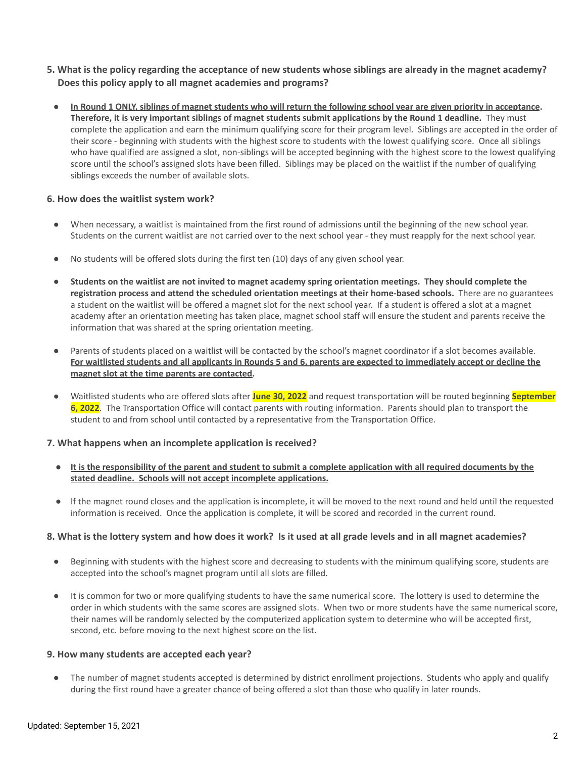- 5. What is the policy regarding the acceptance of new students whose siblings are already in the magnet academy? **Does this policy apply to all magnet academies and programs?**
	- In Round 1 ONLY, siblings of magnet students who will return the following school year are given priority in acceptance. Therefore, it is very important siblings of magnet students submit applications by the Round 1 deadline. They must complete the application and earn the minimum qualifying score for their program level. Siblings are accepted in the order of their score - beginning with students with the highest score to students with the lowest qualifying score. Once all siblings who have qualified are assigned a slot, non-siblings will be accepted beginning with the highest score to the lowest qualifying score until the school's assigned slots have been filled. Siblings may be placed on the waitlist if the number of qualifying siblings exceeds the number of available slots.

## **6. How does the waitlist system work?**

- When necessary, a waitlist is maintained from the first round of admissions until the beginning of the new school year. Students on the current waitlist are not carried over to the next school year - they must reapply for the next school year.
- No students will be offered slots during the first ten (10) days of any given school year.
- Students on the waitlist are not invited to magnet academy spring orientation meetings. They should complete the **registration process and attend the scheduled orientation meetings at their home-based schools.** There are no guarantees a student on the waitlist will be offered a magnet slot for the next school year. If a student is offered a slot at a magnet academy after an orientation meeting has taken place, magnet school staff will ensure the student and parents receive the information that was shared at the spring orientation meeting.
- Parents of students placed on a waitlist will be contacted by the school's magnet coordinator if a slot becomes available. For waitlisted students and all applicants in Rounds 5 and 6, parents are expected to immediately accept or decline the **magnet slot at the time parents are contacted.**
- Waitlisted students who are offered slots after **June 30, 2022** and request transportation will be routed beginning **September 6, 2022**. The Transportation Office will contact parents with routing information. Parents should plan to transport the student to and from school until contacted by a representative from the Transportation Office.

#### **7. What happens when an incomplete application is received?**

- It is the responsibility of the parent and student to submit a complete application with all required documents by the **stated deadline. Schools will not accept incomplete applications.**
- If the magnet round closes and the application is incomplete, it will be moved to the next round and held until the requested information is received. Once the application is complete, it will be scored and recorded in the current round.

#### 8. What is the lottery system and how does it work? Is it used at all grade levels and in all magnet academies?

- Beginning with students with the highest score and decreasing to students with the minimum qualifying score, students are accepted into the school's magnet program until all slots are filled.
- It is common for two or more qualifying students to have the same numerical score. The lottery is used to determine the order in which students with the same scores are assigned slots. When two or more students have the same numerical score, their names will be randomly selected by the computerized application system to determine who will be accepted first, second, etc. before moving to the next highest score on the list.

#### **9. How many students are accepted each year?**

The number of magnet students accepted is determined by district enrollment projections. Students who apply and qualify during the first round have a greater chance of being offered a slot than those who qualify in later rounds.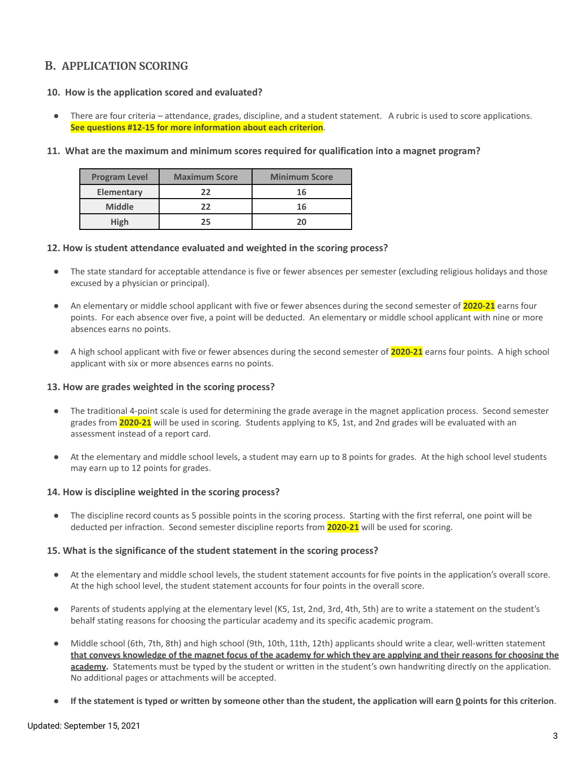# **B. APPLICATION SCORING**

## **10. How is the application scored and evaluated?**

There are four criteria – attendance, grades, discipline, and a student statement. A rubric is used to score applications. **See questions #12-15 for more information about each criterion**.

## **11. What are the maximum and minimum scores required for qualification into a magnet program?**

| <b>Program Level</b> | <b>Maximum Score</b> | <b>Minimum Score</b> |
|----------------------|----------------------|----------------------|
| Elementary           | 22                   | 16                   |
| <b>Middle</b>        | フフ                   | 16                   |
| High                 | 25                   |                      |

## **12. How is student attendance evaluated and weighted in the scoring process?**

- The state standard for acceptable attendance is five or fewer absences per semester (excluding religious holidays and those excused by a physician or principal).
- An elementary or middle school applicant with five or fewer absences during the second semester of **2020-21** earns four points. For each absence over five, a point will be deducted. An elementary or middle school applicant with nine or more absences earns no points.
- A high school applicant with five or fewer absences during the second semester of **2020-21** earns four points. A high school applicant with six or more absences earns no points.

#### **13. How are grades weighted in the scoring process?**

- The traditional 4-point scale is used for determining the grade average in the magnet application process. Second semester grades from **2020-21** will be used in scoring. Students applying to K5, 1st, and 2nd grades will be evaluated with an assessment instead of a report card.
- At the elementary and middle school levels, a student may earn up to 8 points for grades. At the high school level students may earn up to 12 points for grades.

#### **14. How is discipline weighted in the scoring process?**

The discipline record counts as 5 possible points in the scoring process. Starting with the first referral, one point will be deducted per infraction. Second semester discipline reports from **2020-21** will be used for scoring.

#### **15. What is the significance of the student statement in the scoring process?**

- At the elementary and middle school levels, the student statement accounts for five points in the application's overall score. At the high school level, the student statement accounts for four points in the overall score.
- Parents of students applying at the elementary level (K5, 1st, 2nd, 3rd, 4th, 5th) are to write a statement on the student's behalf stating reasons for choosing the particular academy and its specific academic program.
- Middle school (6th, 7th, 8th) and high school (9th, 10th, 11th, 12th) applicants should write a clear, well-written statement that conveys knowledge of the magnet focus of the academy for which they are applying and their reasons for choosing the **academy.** Statements must be typed by the student or written in the student's own handwriting directly on the application. No additional pages or attachments will be accepted.
- If the statement is typed or written by someone other than the student, the application will earn  $Q$  points for this criterion.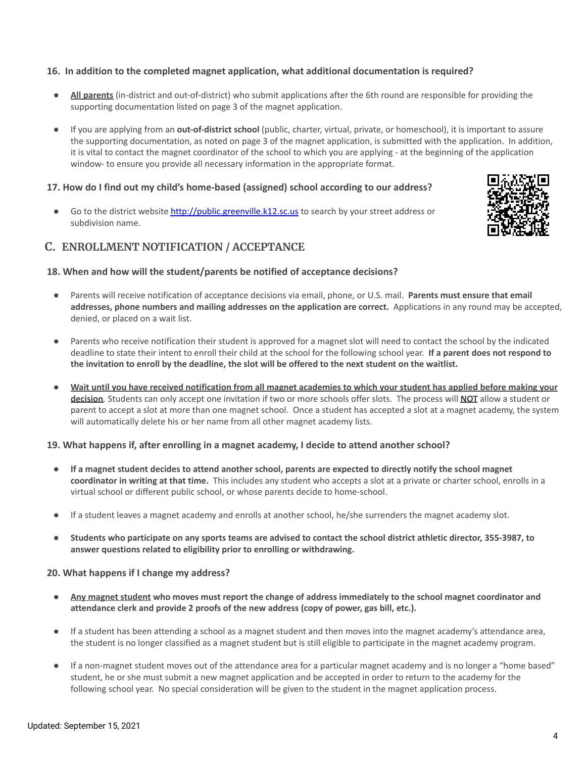## **16. In addition to the completed magnet application, what additional documentation is required?**

- All parents (in-district and out-of-district) who submit applications after the 6th round are responsible for providing the supporting documentation listed on page 3 of the magnet application.
- If you are applying from an **out-of-district school** (public, charter, virtual, private, or homeschool), it is important to assure the supporting documentation, as noted on page 3 of the magnet application, is submitted with the application. In addition, it is vital to contact the magnet coordinator of the school to which you are applying - at the beginning of the application window- to ensure you provide all necessary information in the appropriate format.

## **17. How do I find out my child's home-based (assigned) school according to our address?**

Go to the district website [http://public.greenville.k12.sc.us](http://public.greenville.k12.sc.us/) to search by your street address or subdivision name.

## **C. ENROLLMENT NOTIFICATION / ACCEPTANCE**



- Parents will receive notification of acceptance decisions via email, phone, or U.S. mail. **Parents must ensure that email addresses, phone numbers and mailing addresses on the application are correct.** Applications in any round may be accepted, denied, or placed on a wait list.
- Parents who receive notification their student is approved for a magnet slot will need to contact the school by the indicated deadline to state their intent to enroll their child at the school for the following school year. **If a parent does not respond to** the invitation to enroll by the deadline, the slot will be offered to the next student on the waitlist.
- Wait until you have received notification from all magnet academies to which your student has applied before making your **decision***.* Students can only accept one invitation if two or more schools offer slots. The process will **NOT** allow a student or parent to accept a slot at more than one magnet school. Once a student has accepted a slot at a magnet academy, the system will automatically delete his or her name from all other magnet academy lists.

#### **19. What happens if, after enrolling in a magnet academy, I decide to attend another school?**

- If a magnet student decides to attend another school, parents are expected to directly notify the school magnet **coordinator in writing at that time.** This includes any student who accepts a slot at a private or charter school, enrolls in a virtual school or different public school, or whose parents decide to home-school.
- If a student leaves a magnet academy and enrolls at another school, he/she surrenders the magnet academy slot.
- Students who participate on any sports teams are advised to contact the school district athletic director, 355-3987, to **answer questions related to eligibility prior to enrolling or withdrawing.**

#### **20. What happens if I change my address?**

- Any magnet student who moves must report the change of address immediately to the school magnet coordinator and **attendance clerk and provide 2 proofs of the new address (copy of power, gas bill, etc.).**
- If a student has been attending a school as a magnet student and then moves into the magnet academy's attendance area, the student is no longer classified as a magnet student but is still eligible to participate in the magnet academy program.
- If a non-magnet student moves out of the attendance area for a particular magnet academy and is no longer a "home based" student, he or she must submit a new magnet application and be accepted in order to return to the academy for the following school year. No special consideration will be given to the student in the magnet application process.